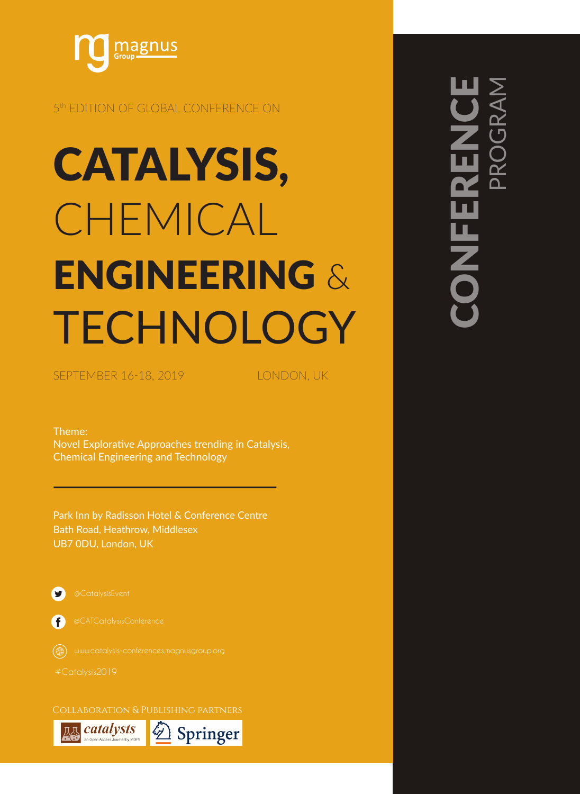

## 5<sup>th</sup> EDITION OF GLOBAL CONFERENCE ON

# CATALYSIS, CHEMICAL ENGINEERING & TECHNOLOGY

SEPTEMBER 16-18, 2019 | CONDON, UK

Theme: Novel Explorative Approaches trending in Catalysis, Chemical Engineering and Technology

Park Inn by Radisson Hotel & Conference Centre Bath Road, Heathrow, Middlesex UB7 0DU, London, UK



A

Collaboration & Publishing partners



# CONFERENCE PROGRAM ONFER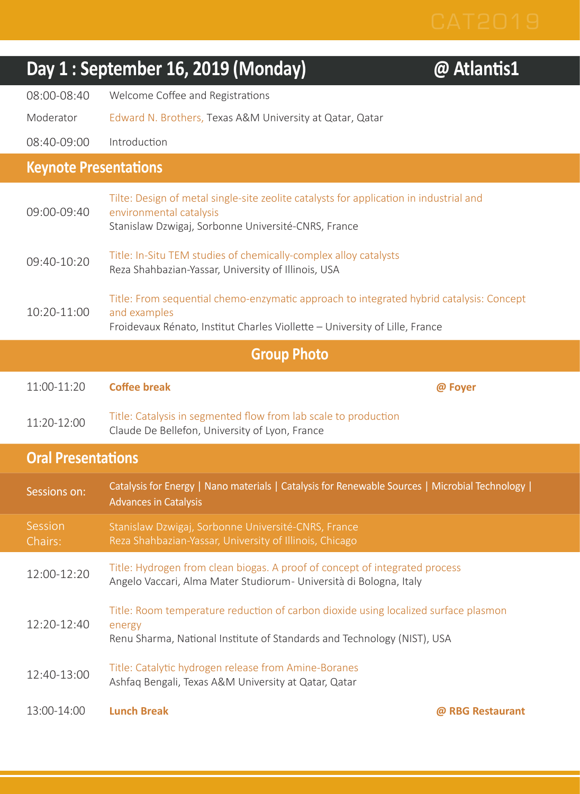|                              | Day 1 : September 16, 2019 (Monday)                                                                                                                                                    | @ Atlantis1 |
|------------------------------|----------------------------------------------------------------------------------------------------------------------------------------------------------------------------------------|-------------|
| 08:00-08:40                  | Welcome Coffee and Registrations                                                                                                                                                       |             |
| Moderator                    | Edward N. Brothers, Texas A&M University at Qatar, Qatar                                                                                                                               |             |
| 08:40-09:00                  | Introduction                                                                                                                                                                           |             |
| <b>Keynote Presentations</b> |                                                                                                                                                                                        |             |
| 09:00-09:40                  | Tilte: Design of metal single-site zeolite catalysts for application in industrial and<br>environmental catalysis<br>Stanislaw Dzwigaj, Sorbonne Université-CNRS, France               |             |
| 09:40-10:20                  | Title: In-Situ TEM studies of chemically-complex alloy catalysts<br>Reza Shahbazian-Yassar, University of Illinois, USA                                                                |             |
| 10:20-11:00                  | Title: From sequential chemo-enzymatic approach to integrated hybrid catalysis: Concept<br>and examples<br>Froidevaux Rénato, Institut Charles Viollette - University of Lille, France |             |
|                              | <b>Group Photo</b>                                                                                                                                                                     |             |
| 11:00-11:20                  | <b>Coffee break</b>                                                                                                                                                                    | @ Foyer     |
|                              |                                                                                                                                                                                        |             |
| 11:20-12:00                  | Title: Catalysis in segmented flow from lab scale to production<br>Claude De Bellefon, University of Lyon, France                                                                      |             |
| <b>Oral Presentations</b>    |                                                                                                                                                                                        |             |
| Sessions on:                 | Catalysis for Energy   Nano materials   Catalysis for Renewable Sources   Microbial Technology  <br><b>Advances in Catalysis</b>                                                       |             |
| Session<br>Chairs:           | Stanislaw Dzwigaj, Sorbonne Université-CNRS, France<br>Reza Shahbazian-Yassar, University of Illinois, Chicago                                                                         |             |
| 12:00-12:20                  | Title: Hydrogen from clean biogas. A proof of concept of integrated process<br>Angelo Vaccari, Alma Mater Studiorum- Università di Bologna, Italy                                      |             |
| 12:20-12:40                  | Title: Room temperature reduction of carbon dioxide using localized surface plasmon<br>energy<br>Renu Sharma, National Institute of Standards and Technology (NIST), USA               |             |
| 12:40-13:00                  | Title: Catalytic hydrogen release from Amine-Boranes<br>Ashfaq Bengali, Texas A&M University at Qatar, Qatar                                                                           |             |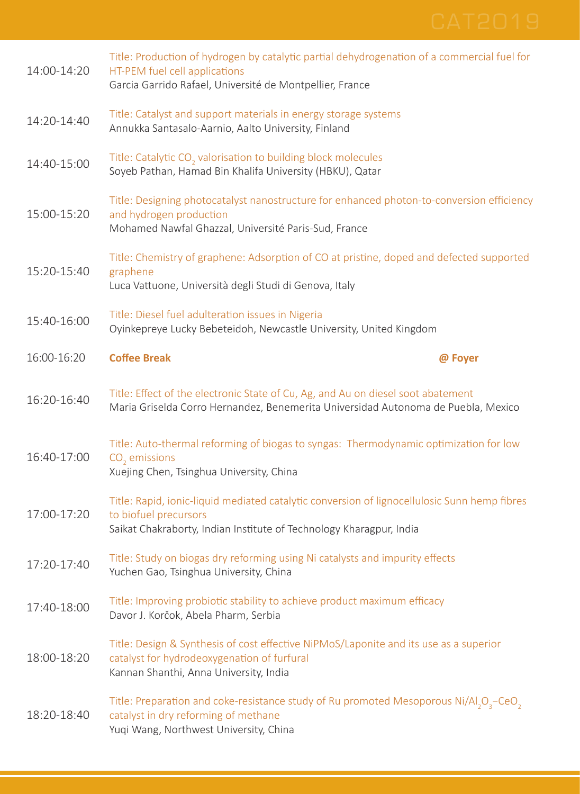| 14:00-14:20 | Title: Production of hydrogen by catalytic partial dehydrogenation of a commercial fuel for<br>HT-PEM fuel cell applications<br>Garcia Garrido Rafael, Université de Montpellier, France                     |  |
|-------------|--------------------------------------------------------------------------------------------------------------------------------------------------------------------------------------------------------------|--|
| 14:20-14:40 | Title: Catalyst and support materials in energy storage systems<br>Annukka Santasalo-Aarnio, Aalto University, Finland                                                                                       |  |
| 14:40-15:00 | Title: Catalytic CO <sub>2</sub> valorisation to building block molecules<br>Soyeb Pathan, Hamad Bin Khalifa University (HBKU), Qatar                                                                        |  |
| 15:00-15:20 | Title: Designing photocatalyst nanostructure for enhanced photon-to-conversion efficiency<br>and hydrogen production<br>Mohamed Nawfal Ghazzal, Université Paris-Sud, France                                 |  |
| 15:20-15:40 | Title: Chemistry of graphene: Adsorption of CO at pristine, doped and defected supported<br>graphene<br>Luca Vattuone, Università degli Studi di Genova, Italy                                               |  |
| 15:40-16:00 | Title: Diesel fuel adulteration issues in Nigeria<br>Oyinkepreye Lucky Bebeteidoh, Newcastle University, United Kingdom                                                                                      |  |
| 16:00-16:20 | <b>Coffee Break</b><br>@ Foyer                                                                                                                                                                               |  |
| 16:20-16:40 | Title: Effect of the electronic State of Cu, Ag, and Au on diesel soot abatement<br>Maria Griselda Corro Hernandez, Benemerita Universidad Autonoma de Puebla, Mexico                                        |  |
| 16:40-17:00 | Title: Auto-thermal reforming of biogas to syngas: Thermodynamic optimization for low<br>CO <sub>2</sub> emissions<br>Xuejing Chen, Tsinghua University, China                                               |  |
| 17:00-17:20 | Title: Rapid, ionic-liquid mediated catalytic conversion of lignocellulosic Sunn hemp fibres<br>to biofuel precursors<br>Saikat Chakraborty, Indian Institute of Technology Kharagpur, India                 |  |
| 17:20-17:40 | Title: Study on biogas dry reforming using Ni catalysts and impurity effects<br>Yuchen Gao, Tsinghua University, China                                                                                       |  |
| 17:40-18:00 | Title: Improving probiotic stability to achieve product maximum efficacy<br>Davor J. Korčok, Abela Pharm, Serbia                                                                                             |  |
| 18:00-18:20 | Title: Design & Synthesis of cost effective NiPMoS/Laponite and its use as a superior<br>catalyst for hydrodeoxygenation of furfural<br>Kannan Shanthi, Anna University, India                               |  |
| 18:20-18:40 | Title: Preparation and coke-resistance study of Ru promoted Mesoporous Ni/Al <sub>2</sub> O <sub>3</sub> -CeO <sub>2</sub><br>catalyst in dry reforming of methane<br>Yuqi Wang, Northwest University, China |  |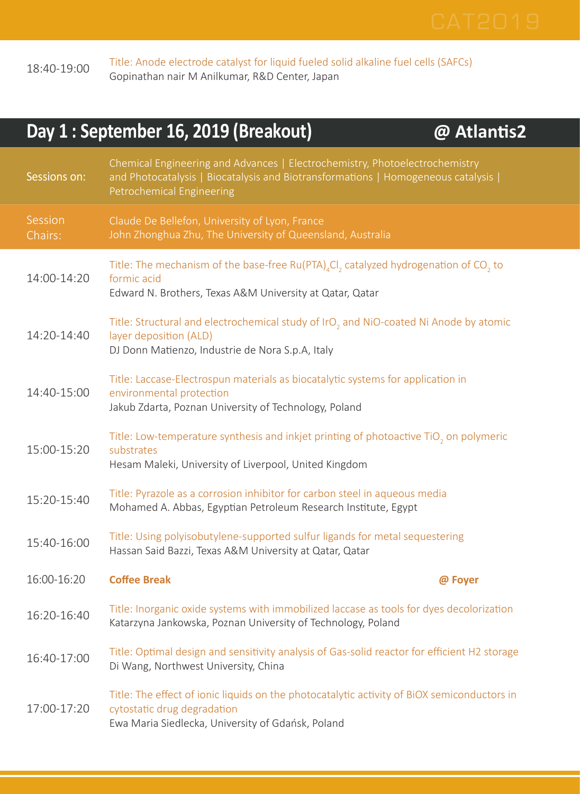

18:40-19:00 Title: Anode electrode catalyst for liquid fueled solid alkaline fuel cells (SAFCs) Gopinathan nair M Anilkumar, R&D Center, Japan

| Day 1 : September 16, 2019 (Breakout)<br>@ Atlantis2 |                                                                                                                                                                                                     |         |  |
|------------------------------------------------------|-----------------------------------------------------------------------------------------------------------------------------------------------------------------------------------------------------|---------|--|
| Sessions on:                                         | Chemical Engineering and Advances   Electrochemistry, Photoelectrochemistry<br>and Photocatalysis   Biocatalysis and Biotransformations   Homogeneous catalysis  <br>Petrochemical Engineering      |         |  |
| Session<br>Chairs:                                   | Claude De Bellefon, University of Lyon, France<br>John Zhonghua Zhu, The University of Queensland, Australia                                                                                        |         |  |
| 14:00-14:20                                          | Title: The mechanism of the base-free Ru(PTA) <sub>4</sub> Cl <sub>2</sub> catalyzed hydrogenation of CO <sub>2</sub> to<br>formic acid<br>Edward N. Brothers, Texas A&M University at Qatar, Qatar |         |  |
| 14:20-14:40                                          | Title: Structural and electrochemical study of IrO <sub>2</sub> and NiO-coated Ni Anode by atomic<br>layer deposition (ALD)<br>DJ Donn Matienzo, Industrie de Nora S.p.A, Italy                     |         |  |
| 14:40-15:00                                          | Title: Laccase-Electrospun materials as biocatalytic systems for application in<br>environmental protection<br>Jakub Zdarta, Poznan University of Technology, Poland                                |         |  |
| 15:00-15:20                                          | Title: Low-temperature synthesis and inkjet printing of photoactive TiO <sub>2</sub> on polymeric<br>substrates<br>Hesam Maleki, University of Liverpool, United Kingdom                            |         |  |
| 15:20-15:40                                          | Title: Pyrazole as a corrosion inhibitor for carbon steel in aqueous media<br>Mohamed A. Abbas, Egyptian Petroleum Research Institute, Egypt                                                        |         |  |
| 15:40-16:00                                          | Title: Using polyisobutylene-supported sulfur ligands for metal sequestering<br>Hassan Said Bazzi, Texas A&M University at Qatar, Qatar                                                             |         |  |
| 16:00-16:20                                          | <b>Coffee Break</b>                                                                                                                                                                                 | @ Foyer |  |
| 16:20-16:40                                          | Title: Inorganic oxide systems with immobilized laccase as tools for dyes decolorization<br>Katarzyna Jankowska, Poznan University of Technology, Poland                                            |         |  |
| 16:40-17:00                                          | Title: Optimal design and sensitivity analysis of Gas-solid reactor for efficient H2 storage<br>Di Wang, Northwest University, China                                                                |         |  |
| 17:00-17:20                                          | Title: The effect of ionic liquids on the photocatalytic activity of BiOX semiconductors in<br>cytostatic drug degradation<br>Ewa Maria Siedlecka, University of Gdańsk, Poland                     |         |  |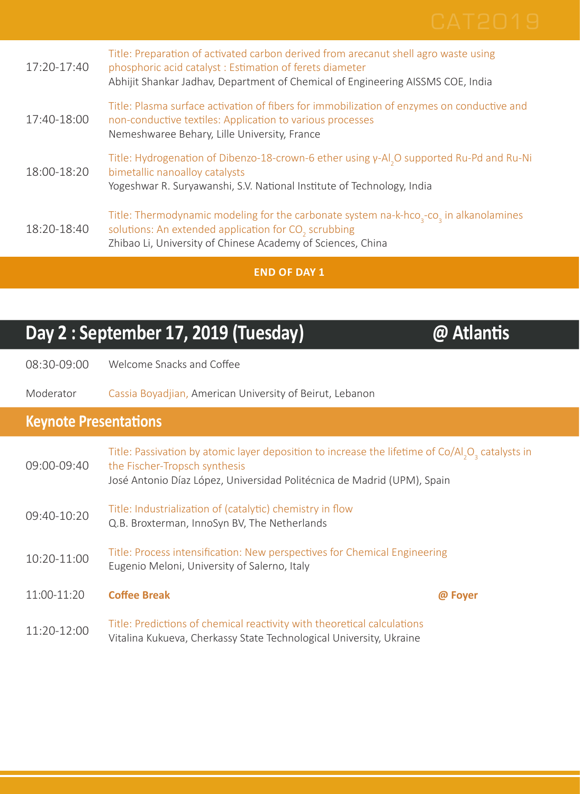| 17:20-17:40 | Title: Preparation of activated carbon derived from arecanut shell agro waste using<br>phosphoric acid catalyst: Estimation of ferets diameter<br>Abhijit Shankar Jadhav, Department of Chemical of Engineering AISSMS COE, India                 |
|-------------|---------------------------------------------------------------------------------------------------------------------------------------------------------------------------------------------------------------------------------------------------|
| 17:40-18:00 | Title: Plasma surface activation of fibers for immobilization of enzymes on conductive and<br>non-conductive textiles: Application to various processes<br>Nemeshwaree Behary, Lille University, France                                           |
| 18:00-18:20 | Title: Hydrogenation of Dibenzo-18-crown-6 ether using $\gamma$ -Al, O supported Ru-Pd and Ru-Ni<br>bimetallic nanoalloy catalysts<br>Yogeshwar R. Suryawanshi, S.V. National Institute of Technology, India                                      |
| 18:20-18:40 | Title: Thermodynamic modeling for the carbonate system na-k-hco <sub>3</sub> -co <sub>3</sub> in alkanolamines<br>solutions: An extended application for CO <sub>2</sub> scrubbing<br>Zhibao Li, University of Chinese Academy of Sciences, China |

**END OF DAY 1**

## **Day 2 : September 17, 2019 (Tuesday) @ Atlantis**

08:30-09:00 Welcome Snacks and Coffee

Moderator Cassia Boyadjian, American University of Beirut, Lebanon

## **Keynote Presentations**

| 09:00-09:40 | Title: Passivation by atomic layer deposition to increase the lifetime of Co/Al <sub>2</sub> O <sub>2</sub> catalysts in<br>the Fischer-Tropsch synthesis<br>José Antonio Díaz López, Universidad Politécnica de Madrid (UPM), Spain |         |
|-------------|--------------------------------------------------------------------------------------------------------------------------------------------------------------------------------------------------------------------------------------|---------|
| 09:40-10:20 | Title: Industrialization of (catalytic) chemistry in flow<br>Q.B. Broxterman, InnoSyn BV, The Netherlands                                                                                                                            |         |
| 10:20-11:00 | Title: Process intensification: New perspectives for Chemical Engineering<br>Eugenio Meloni, University of Salerno, Italy                                                                                                            |         |
| 11:00-11:20 | <b>Coffee Break</b>                                                                                                                                                                                                                  | @ Foyer |
| 11:20-12:00 | Title: Predictions of chemical reactivity with theoretical calculations<br>Vitalina Kukueva, Cherkassy State Technological University, Ukraine                                                                                       |         |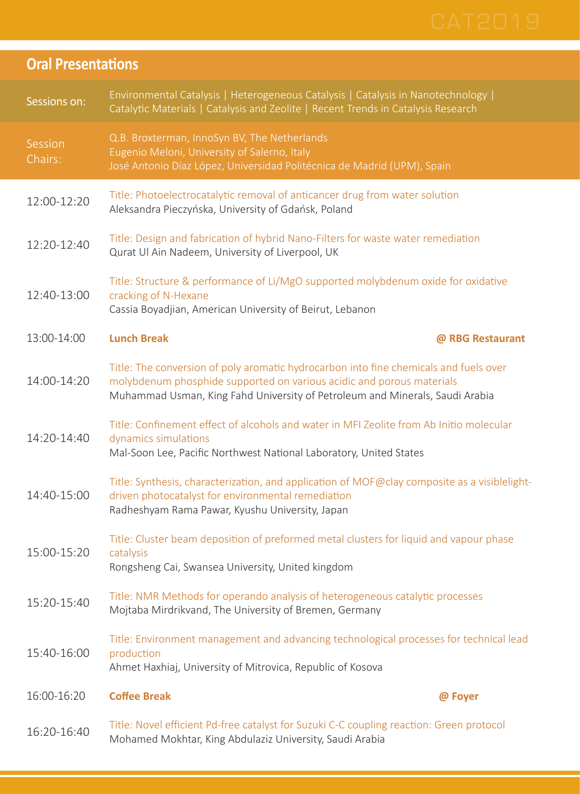| <b>Oral Presentations</b> |                                                                                                                                                                                                                                                |  |
|---------------------------|------------------------------------------------------------------------------------------------------------------------------------------------------------------------------------------------------------------------------------------------|--|
| Sessions on:              | Environmental Catalysis   Heterogeneous Catalysis   Catalysis in Nanotechnology  <br>Catalytic Materials   Catalysis and Zeolite   Recent Trends in Catalysis Research                                                                         |  |
| Session<br>Chairs:        | Q.B. Broxterman, InnoSyn BV, The Netherlands<br>Eugenio Meloni, University of Salerno, Italy<br>José Antonio Díaz López, Universidad Politécnica de Madrid (UPM), Spain                                                                        |  |
| 12:00-12:20               | Title: Photoelectrocatalytic removal of anticancer drug from water solution<br>Aleksandra Pieczyńska, University of Gdańsk, Poland                                                                                                             |  |
| 12:20-12:40               | Title: Design and fabrication of hybrid Nano-Filters for waste water remediation<br>Qurat Ul Ain Nadeem, University of Liverpool, UK                                                                                                           |  |
| 12:40-13:00               | Title: Structure & performance of Li/MgO supported molybdenum oxide for oxidative<br>cracking of N-Hexane<br>Cassia Boyadjian, American University of Beirut, Lebanon                                                                          |  |
| 13:00-14:00               | <b>Lunch Break</b><br>@ RBG Restaurant                                                                                                                                                                                                         |  |
| 14:00-14:20               | Title: The conversion of poly aromatic hydrocarbon into fine chemicals and fuels over<br>molybdenum phosphide supported on various acidic and porous materials<br>Muhammad Usman, King Fahd University of Petroleum and Minerals, Saudi Arabia |  |
| 14:20-14:40               | Title: Confinement effect of alcohols and water in MFI Zeolite from Ab Initio molecular<br>dynamics simulations<br>Mal-Soon Lee, Pacific Northwest National Laboratory, United States                                                          |  |
| 14:40-15:00               | Title: Synthesis, characterization, and application of MOF@clay composite as a visiblelight-<br>driven photocatalyst for environmental remediation<br>Radheshyam Rama Pawar, Kyushu University, Japan                                          |  |
| 15:00-15:20               | Title: Cluster beam deposition of preformed metal clusters for liquid and vapour phase<br>catalysis<br>Rongsheng Cai, Swansea University, United kingdom                                                                                       |  |
| 15:20-15:40               | Title: NMR Methods for operando analysis of heterogeneous catalytic processes<br>Mojtaba Mirdrikvand, The University of Bremen, Germany                                                                                                        |  |
| 15:40-16:00               | Title: Environment management and advancing technological processes for technical lead<br>production<br>Ahmet Haxhiaj, University of Mitrovica, Republic of Kosova                                                                             |  |
| 16:00-16:20               | <b>Coffee Break</b><br>@ Foyer                                                                                                                                                                                                                 |  |
| 16:20-16:40               | Title: Novel efficient Pd-free catalyst for Suzuki C-C coupling reaction: Green protocol<br>Mohamed Mokhtar, King Abdulaziz University, Saudi Arabia                                                                                           |  |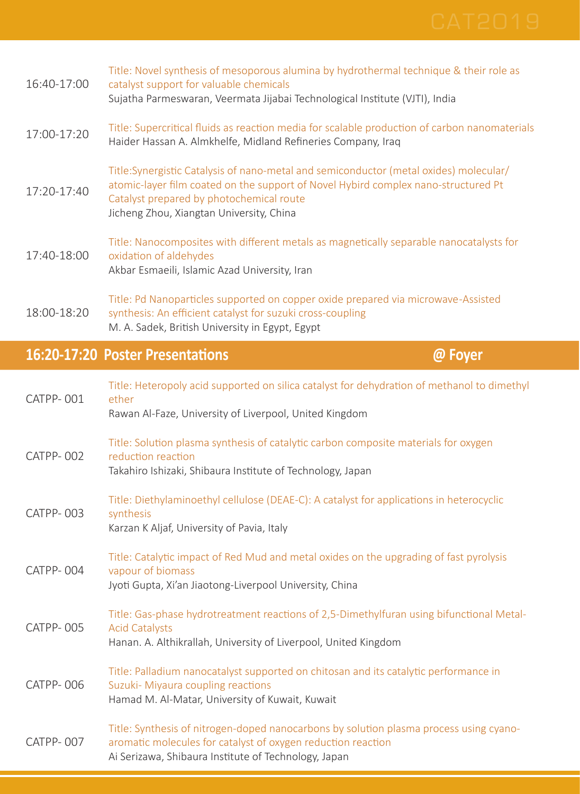| 16:40-17:00     | Title: Novel synthesis of mesoporous alumina by hydrothermal technique & their role as<br>catalyst support for valuable chemicals<br>Sujatha Parmeswaran, Veermata Jijabai Technological Institute (VJTI), India                                                    |
|-----------------|---------------------------------------------------------------------------------------------------------------------------------------------------------------------------------------------------------------------------------------------------------------------|
| 17:00-17:20     | Title: Supercritical fluids as reaction media for scalable production of carbon nanomaterials<br>Haider Hassan A. Almkhelfe, Midland Refineries Company, Iraq                                                                                                       |
| $17:20 - 17:40$ | Title:Synergistic Catalysis of nano-metal and semiconductor (metal oxides) molecular/<br>atomic-layer film coated on the support of Novel Hybird complex nano-structured Pt<br>Catalyst prepared by photochemical route<br>Jicheng Zhou, Xiangtan University, China |
| 17:40-18:00     | Title: Nanocomposites with different metals as magnetically separable nanocatalysts for<br>oxidation of aldehydes<br>Akbar Esmaeili, Islamic Azad University, Iran                                                                                                  |
| 18:00-18:20     | Title: Pd Nanoparticles supported on copper oxide prepared via microwave-Assisted<br>synthesis: An efficient catalyst for suzuki cross-coupling<br>M. A. Sadek, British University in Egypt, Egypt                                                                  |

## **16:20-17:20 Poster Presentations @ Foyer**

ether

synthesis

reduction reaction

CATPP- 001

CATPP- 002

CATPP- 003

Title: Heteropoly acid supported on silica catalyst for dehydration of methanol to dimethyl Rawan Al-Faze, University of Liverpool, United Kingdom Title: Solution plasma synthesis of catalytic carbon composite materials for oxygen Takahiro Ishizaki, Shibaura Institute of Technology, Japan Title: Diethylaminoethyl cellulose (DEAE-C): A catalyst for applications in heterocyclic

|           | Karzan K Aljaf, University of Pavia, Italy                                                                                                                                           |
|-----------|--------------------------------------------------------------------------------------------------------------------------------------------------------------------------------------|
| CATPP-004 | Title: Catalytic impact of Red Mud and metal oxides on the upgrading of fast pyrolysis<br>vapour of biomass<br>Jyoti Gupta, Xi'an Jiaotong-Liverpool University, China               |
| CATPP-005 | Title: Gas-phase hydrotreatment reactions of 2,5-Dimethylfuran using bifunctional Metal-<br><b>Acid Catalysts</b><br>Hanan. A. Althikrallah, University of Liverpool, United Kingdom |
| CATPP-006 | Title: Palladium nanocatalyst supported on chitosan and its catalytic performance in<br>Suzuki- Miyaura coupling reactions<br>Hamad M. Al-Matar, University of Kuwait, Kuwait        |
|           | Title: Synthesis of nitrogen-doped nanocarbons by solution plasma process using cyano-                                                                                               |

### CATPP- 007 aromatic molecules for catalyst of oxygen reduction reaction Ai Serizawa, Shibaura Institute of Technology, Japan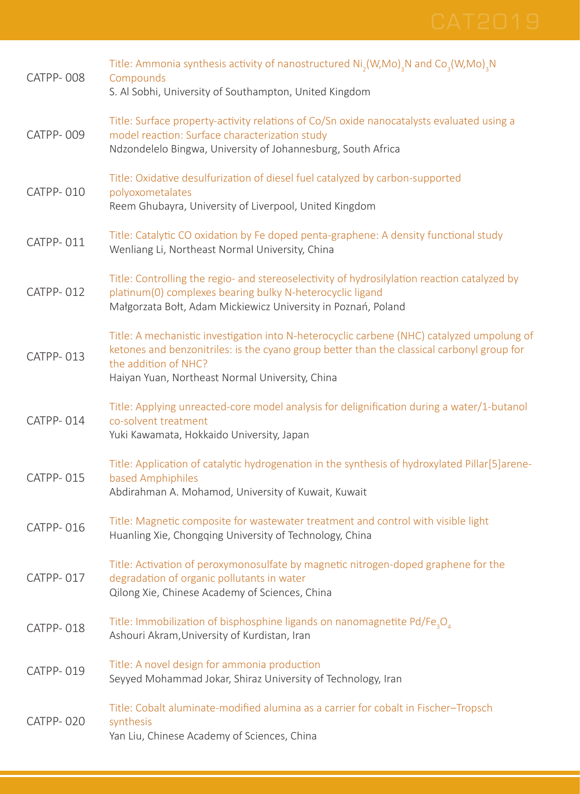| CATPP-008        | Title: Ammonia synthesis activity of nanostructured $Ni2(W, Mo)3N$ and Co <sub>3</sub> (W,Mo) <sub>3</sub> N<br>Compounds<br>S. Al Sobhi, University of Southampton, United Kingdom                                                                                 |
|------------------|---------------------------------------------------------------------------------------------------------------------------------------------------------------------------------------------------------------------------------------------------------------------|
| CATPP-009        | Title: Surface property-activity relations of Co/Sn oxide nanocatalysts evaluated using a<br>model reaction: Surface characterization study<br>Ndzondelelo Bingwa, University of Johannesburg, South Africa                                                         |
| CATPP-010        | Title: Oxidative desulfurization of diesel fuel catalyzed by carbon-supported<br>polyoxometalates<br>Reem Ghubayra, University of Liverpool, United Kingdom                                                                                                         |
| CATPP-011        | Title: Catalytic CO oxidation by Fe doped penta-graphene: A density functional study<br>Wenliang Li, Northeast Normal University, China                                                                                                                             |
| CATPP-012        | Title: Controlling the regio- and stereoselectivity of hydrosilylation reaction catalyzed by<br>platinum(0) complexes bearing bulky N-heterocyclic ligand<br>Małgorzata Bołt, Adam Mickiewicz University in Poznań, Poland                                          |
| <b>CATPP-013</b> | Title: A mechanistic investigation into N-heterocyclic carbene (NHC) catalyzed umpolung of<br>ketones and benzonitriles: is the cyano group better than the classical carbonyl group for<br>the addition of NHC?<br>Haiyan Yuan, Northeast Normal University, China |
| CATPP-014        | Title: Applying unreacted-core model analysis for delignification during a water/1-butanol<br>co-solvent treatment<br>Yuki Kawamata, Hokkaido University, Japan                                                                                                     |
| CATPP-015        | Title: Application of catalytic hydrogenation in the synthesis of hydroxylated Pillar[5]arene-<br>based Amphiphiles<br>Abdirahman A. Mohamod, University of Kuwait, Kuwait                                                                                          |
| CATPP-016        | Title: Magnetic composite for wastewater treatment and control with visible light<br>Huanling Xie, Chongqing University of Technology, China                                                                                                                        |
| CATPP-017        | Title: Activation of peroxymonosulfate by magnetic nitrogen-doped graphene for the<br>degradation of organic pollutants in water<br>Qilong Xie, Chinese Academy of Sciences, China                                                                                  |
| CATPP-018        | Title: Immobilization of bisphosphine ligands on nanomagnetite Pd/Fe <sub>3</sub> O <sub>4</sub><br>Ashouri Akram, University of Kurdistan, Iran                                                                                                                    |
| <b>CATPP-019</b> | Title: A novel design for ammonia production<br>Seyyed Mohammad Jokar, Shiraz University of Technology, Iran                                                                                                                                                        |
| CATPP-020        | Title: Cobalt aluminate-modified alumina as a carrier for cobalt in Fischer-Tropsch<br>synthesis<br>Yan Liu, Chinese Academy of Sciences, China                                                                                                                     |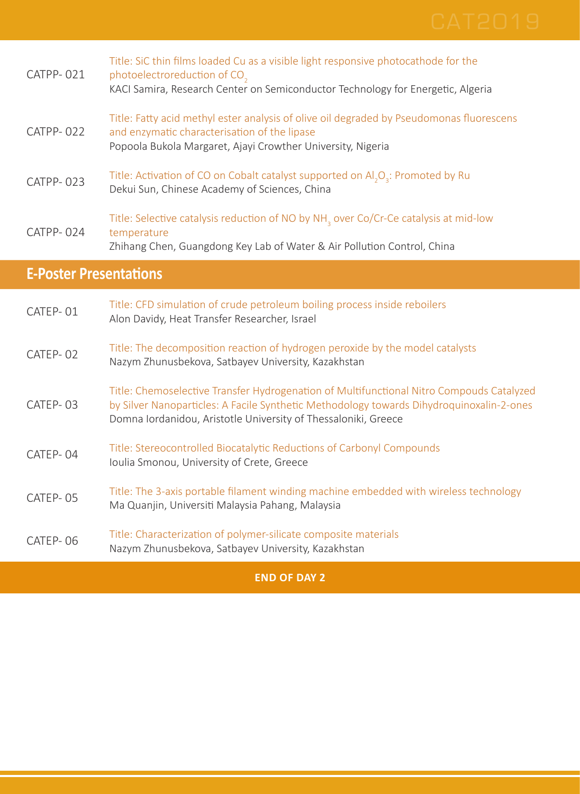|                               | <b>END OF DAY 2</b>                                                                                                                                                                                                                                    |
|-------------------------------|--------------------------------------------------------------------------------------------------------------------------------------------------------------------------------------------------------------------------------------------------------|
| CATEP-06                      | Title: Characterization of polymer-silicate composite materials<br>Nazym Zhunusbekova, Satbayev University, Kazakhstan                                                                                                                                 |
| CATEP-05                      | Title: The 3-axis portable filament winding machine embedded with wireless technology<br>Ma Quanjin, Universiti Malaysia Pahang, Malaysia                                                                                                              |
| CATEP-04                      | Title: Stereocontrolled Biocatalytic Reductions of Carbonyl Compounds<br>Ioulia Smonou, University of Crete, Greece                                                                                                                                    |
| CATEP-03                      | Title: Chemoselective Transfer Hydrogenation of Multifunctional Nitro Compouds Catalyzed<br>by Silver Nanoparticles: A Facile Synthetic Methodology towards Dihydroquinoxalin-2-ones<br>Domna Iordanidou, Aristotle University of Thessaloniki, Greece |
| CATEP-02                      | Title: The decomposition reaction of hydrogen peroxide by the model catalysts<br>Nazym Zhunusbekova, Satbayev University, Kazakhstan                                                                                                                   |
| CATEP-01                      | Title: CFD simulation of crude petroleum boiling process inside reboilers<br>Alon Davidy, Heat Transfer Researcher, Israel                                                                                                                             |
| <b>E-Poster Presentations</b> |                                                                                                                                                                                                                                                        |
| CATPP-024                     | Title: Selective catalysis reduction of NO by NH <sub>3</sub> over Co/Cr-Ce catalysis at mid-low<br>temperature<br>Zhihang Chen, Guangdong Key Lab of Water & Air Pollution Control, China                                                             |
| CATPP-023                     | Title: Activation of CO on Cobalt catalyst supported on $AI_2O_3$ : Promoted by Ru<br>Dekui Sun, Chinese Academy of Sciences, China                                                                                                                    |
| CATPP-022                     | Title: Fatty acid methyl ester analysis of olive oil degraded by Pseudomonas fluorescens<br>and enzymatic characterisation of the lipase<br>Popoola Bukola Margaret, Ajayi Crowther University, Nigeria                                                |
| CATPP-021                     | Title: SiC thin films loaded Cu as a visible light responsive photocathode for the<br>photoelectroreduction of CO <sub>2</sub><br>KACI Samira, Research Center on Semiconductor Technology for Energetic, Algeria                                      |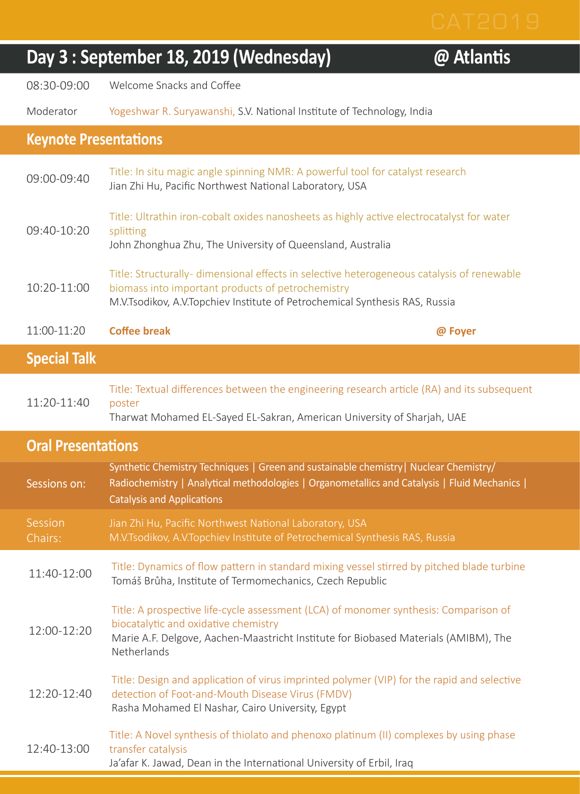$@$  Atlantis

08:30-09:00 Welcome Snacks and Coffee

Moderator Yogeshwar R. Suryawanshi, S.V. National Institute of Technology, India

## **Keynote Presentations**

| <b>Special Talk</b> |                                                                                                                                                                                                                                |         |
|---------------------|--------------------------------------------------------------------------------------------------------------------------------------------------------------------------------------------------------------------------------|---------|
| 11:00-11:20         | Coffee break                                                                                                                                                                                                                   | @ Foyer |
| 10:20-11:00         | Title: Structurally- dimensional effects in selective heterogeneous catalysis of renewable<br>biomass into important products of petrochemistry<br>M.V.Tsodikov, A.V.Topchiev Institute of Petrochemical Synthesis RAS, Russia |         |
| $09:40-10:20$       | Title: Ultrathin iron-cobalt oxides nanosheets as highly active electrocatalyst for water<br>splitting<br>John Zhonghua Zhu, The University of Queensland, Australia                                                           |         |
| $09:00-09:40$       | Title: In situ magic angle spinning NMR: A powerful tool for catalyst research<br>Jian Zhi Hu, Pacific Northwest National Laboratory, USA                                                                                      |         |

|                    | Title: Textual differences between the engineering research article (RA) and its subsequent |
|--------------------|---------------------------------------------------------------------------------------------|
| 11:20-11:40 poster |                                                                                             |

Tharwat Mohamed EL-Sayed EL-Sakran, American University of Sharjah, UAE

## **Oral Presentations**

| Sessions on:       | Synthetic Chemistry Techniques   Green and sustainable chemistry   Nuclear Chemistry<br>Radiochemistry   Analytical methodologies   Organometallics and Catalysis   Fluid Mechanics  <br><b>Catalysis and Applications</b>         |  |
|--------------------|------------------------------------------------------------------------------------------------------------------------------------------------------------------------------------------------------------------------------------|--|
| Session<br>Chairs: | Jian Zhi Hu, Pacific Northwest National Laboratory, USA<br>M.V.Tsodikov, A.V.Topchiev Institute of Petrochemical Synthesis RAS, Russia                                                                                             |  |
| 11:40-12:00        | Title: Dynamics of flow pattern in standard mixing vessel stirred by pitched blade turbine<br>Tomáš Brůha, Institute of Termomechanics, Czech Republic                                                                             |  |
| 12:00-12:20        | Title: A prospective life-cycle assessment (LCA) of monomer synthesis: Comparison of<br>biocatalytic and oxidative chemistry<br>Marie A.F. Delgove, Aachen-Maastricht Institute for Biobased Materials (AMIBM), The<br>Netherlands |  |
|                    | Title: Design and application of virus imprinted polymer (VIP) for the rapid and selective                                                                                                                                         |  |

12:20-12:40 detection of Foot-and-Mouth Disease Virus (FMDV) Rasha Mohamed El Nashar, Cairo University, Egypt

## 12:40-13:00 Title: A Novel synthesis of thiolato and phenoxo platinum (II) complexes by using phase transfer catalysis Ja'afar K. Jawad, Dean in the International University of Erbil, Iraq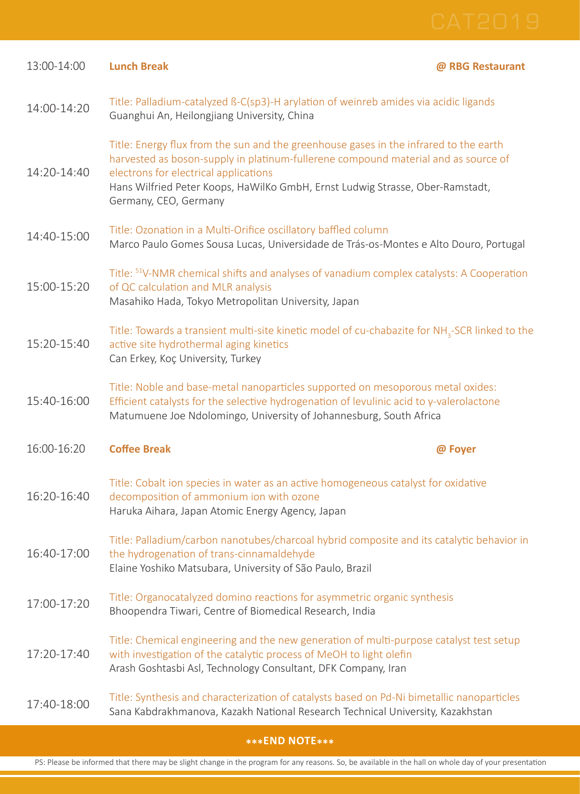| 13:00-14:00 | <b>Lunch Break</b>                                                                                                                                                                                                                                                                                                             | @ RBG Restaurant |  |
|-------------|--------------------------------------------------------------------------------------------------------------------------------------------------------------------------------------------------------------------------------------------------------------------------------------------------------------------------------|------------------|--|
| 14:00-14:20 | Title: Palladium-catalyzed ß-C(sp3)-H arylation of weinreb amides via acidic ligands<br>Guanghui An, Heilongjiang University, China                                                                                                                                                                                            |                  |  |
| 14:20-14:40 | Title: Energy flux from the sun and the greenhouse gases in the infrared to the earth<br>harvested as boson-supply in platinum-fullerene compound material and as source of<br>electrons for electrical applications<br>Hans Wilfried Peter Koops, HaWilKo GmbH, Ernst Ludwig Strasse, Ober-Ramstadt,<br>Germany, CEO, Germany |                  |  |
| 14:40-15:00 | Title: Ozonation in a Multi-Orifice oscillatory baffled column<br>Marco Paulo Gomes Sousa Lucas, Universidade de Trás-os-Montes e Alto Douro, Portugal                                                                                                                                                                         |                  |  |
| 15:00-15:20 | Title: <sup>51</sup> V-NMR chemical shifts and analyses of vanadium complex catalysts: A Cooperation<br>of QC calculation and MLR analysis<br>Masahiko Hada, Tokyo Metropolitan University, Japan                                                                                                                              |                  |  |
| 15:20-15:40 | Title: Towards a transient multi-site kinetic model of cu-chabazite for NH <sub>3</sub> -SCR linked to the<br>active site hydrothermal aging kinetics<br>Can Erkey, Koç University, Turkey                                                                                                                                     |                  |  |
| 15:40-16:00 | Title: Noble and base-metal nanoparticles supported on mesoporous metal oxides:<br>Efficient catalysts for the selective hydrogenation of levulinic acid to $\gamma$ -valerolactone<br>Matumuene Joe Ndolomingo, University of Johannesburg, South Africa                                                                      |                  |  |
| 16:00-16:20 | <b>Coffee Break</b>                                                                                                                                                                                                                                                                                                            | @ Foyer          |  |
| 16:20-16:40 | Title: Cobalt ion species in water as an active homogeneous catalyst for oxidative<br>decomposition of ammonium ion with ozone<br>Haruka Aihara, Japan Atomic Energy Agency, Japan                                                                                                                                             |                  |  |
| 16:40-17:00 | Title: Palladium/carbon nanotubes/charcoal hybrid composite and its catalytic behavior in<br>the hydrogenation of trans-cinnamaldehyde<br>Elaine Yoshiko Matsubara, University of São Paulo, Brazil                                                                                                                            |                  |  |
| 17:00-17:20 | Title: Organocatalyzed domino reactions for asymmetric organic synthesis<br>Bhoopendra Tiwari, Centre of Biomedical Research, India                                                                                                                                                                                            |                  |  |
| 17:20-17:40 | Title: Chemical engineering and the new generation of multi-purpose catalyst test setup<br>with investigation of the catalytic process of MeOH to light olefin<br>Arash Goshtasbi Asl, Technology Consultant, DFK Company, Iran                                                                                                |                  |  |
| 17:40-18:00 | Title: Synthesis and characterization of catalysts based on Pd-Ni bimetallic nanoparticles<br>Sana Kabdrakhmanova, Kazakh National Research Technical University, Kazakhstan                                                                                                                                                   |                  |  |

## **\*\*\*END NOTE\*\*\***

PS: Please be informed that there may be slight change in the program for any reasons. So, be available in the hall on whole day of your presentation